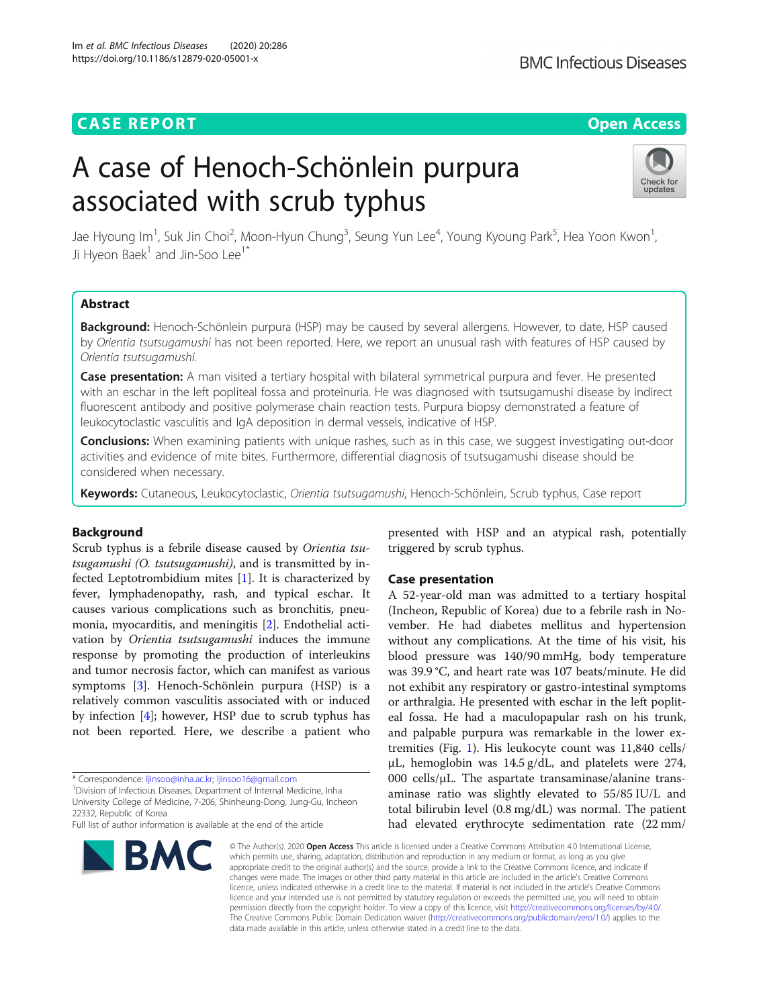# **CASE REPORT CASE ACCESS**

# A case of Henoch-Schönlein purpura associated with scrub typhus



Jae Hyoung Im<sup>1</sup>, Suk Jin Choi<sup>2</sup>, Moon-Hyun Chung<sup>3</sup>, Seung Yun Lee<sup>4</sup>, Young Kyoung Park<sup>5</sup>, Hea Yoon Kwon<sup>1</sup> , Ji Hyeon Baek $<sup>1</sup>$  and Jin-Soo Lee $<sup>1</sup>$ <sup>\*</sup></sup></sup>

# Abstract

Background: Henoch-Schönlein purpura (HSP) may be caused by several allergens. However, to date, HSP caused by Orientia tsutsugamushi has not been reported. Here, we report an unusual rash with features of HSP caused by Orientia tsutsugamushi.

Case presentation: A man visited a tertiary hospital with bilateral symmetrical purpura and fever. He presented with an eschar in the left popliteal fossa and proteinuria. He was diagnosed with tsutsugamushi disease by indirect fluorescent antibody and positive polymerase chain reaction tests. Purpura biopsy demonstrated a feature of leukocytoclastic vasculitis and IgA deposition in dermal vessels, indicative of HSP.

**Conclusions:** When examining patients with unique rashes, such as in this case, we suggest investigating out-door activities and evidence of mite bites. Furthermore, differential diagnosis of tsutsugamushi disease should be considered when necessary.

Keywords: Cutaneous, Leukocytoclastic, Orientia tsutsugamushi, Henoch-Schönlein, Scrub typhus, Case report

# Background

Scrub typhus is a febrile disease caused by Orientia tsutsugamushi (O. tsutsugamushi), and is transmitted by infected Leptotrombidium mites [[1](#page-3-0)]. It is characterized by fever, lymphadenopathy, rash, and typical eschar. It causes various complications such as bronchitis, pneumonia, myocarditis, and meningitis [\[2\]](#page-3-0). Endothelial activation by Orientia tsutsugamushi induces the immune response by promoting the production of interleukins and tumor necrosis factor, which can manifest as various symptoms [\[3](#page-3-0)]. Henoch-Schönlein purpura (HSP) is a relatively common vasculitis associated with or induced by infection [[4\]](#page-3-0); however, HSP due to scrub typhus has not been reported. Here, we describe a patient who

<sup>1</sup> Division of Infectious Diseases, Department of Internal Medicine, Inha University College of Medicine, 7-206, Shinheung-Dong, Jung-Gu, Incheon 22332, Republic of Korea

Full list of author information is available at the end of the article



presented with HSP and an atypical rash, potentially triggered by scrub typhus.

# Case presentation

A 52-year-old man was admitted to a tertiary hospital (Incheon, Republic of Korea) due to a febrile rash in November. He had diabetes mellitus and hypertension without any complications. At the time of his visit, his blood pressure was 140/90 mmHg, body temperature was 39.9 °C, and heart rate was 107 beats/minute. He did not exhibit any respiratory or gastro-intestinal symptoms or arthralgia. He presented with eschar in the left popliteal fossa. He had a maculopapular rash on his trunk, and palpable purpura was remarkable in the lower extremities (Fig. [1\)](#page-1-0). His leukocyte count was 11,840 cells/ μL, hemoglobin was 14.5 g/dL, and platelets were 274, 000 cells/ $\mu$ L. The aspartate transaminase/alanine transaminase ratio was slightly elevated to 55/85 IU/L and total bilirubin level (0.8 mg/dL) was normal. The patient had elevated erythrocyte sedimentation rate (22 mm/

© The Author(s), 2020 **Open Access** This article is licensed under a Creative Commons Attribution 4.0 International License, which permits use, sharing, adaptation, distribution and reproduction in any medium or format, as long as you give appropriate credit to the original author(s) and the source, provide a link to the Creative Commons licence, and indicate if changes were made. The images or other third party material in this article are included in the article's Creative Commons licence, unless indicated otherwise in a credit line to the material. If material is not included in the article's Creative Commons licence and your intended use is not permitted by statutory regulation or exceeds the permitted use, you will need to obtain permission directly from the copyright holder. To view a copy of this licence, visit [http://creativecommons.org/licenses/by/4.0/.](http://creativecommons.org/licenses/by/4.0/) The Creative Commons Public Domain Dedication waiver [\(http://creativecommons.org/publicdomain/zero/1.0/](http://creativecommons.org/publicdomain/zero/1.0/)) applies to the data made available in this article, unless otherwise stated in a credit line to the data.

<sup>\*</sup> Correspondence: [ljinsoo@inha.ac.kr;](mailto:ljinsoo@inha.ac.kr) [ljinsoo16@gmail.com](mailto:ljinsoo16@gmail.com) <sup>1</sup>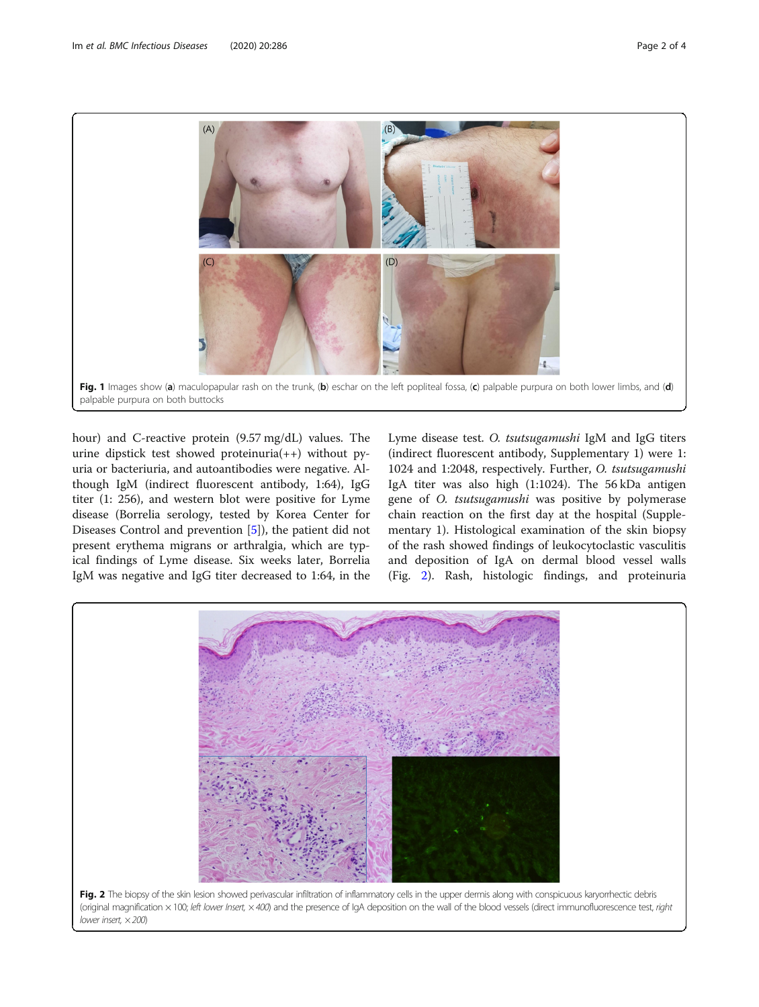<span id="page-1-0"></span>

hour) and C-reactive protein (9.57 mg/dL) values. The urine dipstick test showed proteinuria(++) without pyuria or bacteriuria, and autoantibodies were negative. Although IgM (indirect fluorescent antibody, 1:64), IgG titer (1: 256), and western blot were positive for Lyme disease (Borrelia serology, tested by Korea Center for Diseases Control and prevention [[5\]](#page-3-0)), the patient did not present erythema migrans or arthralgia, which are typical findings of Lyme disease. Six weeks later, Borrelia IgM was negative and IgG titer decreased to 1:64, in the

Lyme disease test. O. tsutsugamushi IgM and IgG titers (indirect fluorescent antibody, Supplementary 1) were 1: 1024 and 1:2048, respectively. Further, O. tsutsugamushi IgA titer was also high (1:1024). The 56 kDa antigen gene of O. tsutsugamushi was positive by polymerase chain reaction on the first day at the hospital (Supplementary 1). Histological examination of the skin biopsy of the rash showed findings of leukocytoclastic vasculitis and deposition of IgA on dermal blood vessel walls (Fig. 2). Rash, histologic findings, and proteinuria

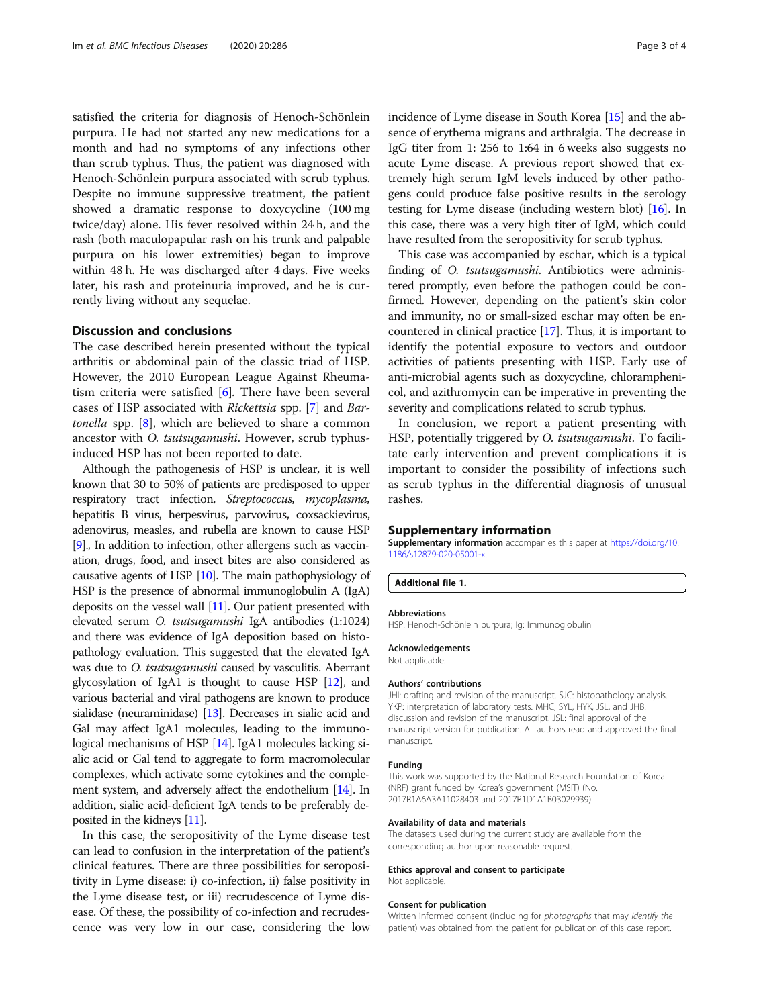satisfied the criteria for diagnosis of Henoch-Schönlein purpura. He had not started any new medications for a month and had no symptoms of any infections other than scrub typhus. Thus, the patient was diagnosed with Henoch-Schönlein purpura associated with scrub typhus. Despite no immune suppressive treatment, the patient showed a dramatic response to doxycycline (100 mg twice/day) alone. His fever resolved within 24 h, and the rash (both maculopapular rash on his trunk and palpable purpura on his lower extremities) began to improve within 48 h. He was discharged after 4 days. Five weeks later, his rash and proteinuria improved, and he is currently living without any sequelae.

# Discussion and conclusions

The case described herein presented without the typical arthritis or abdominal pain of the classic triad of HSP. However, the 2010 European League Against Rheumatism criteria were satisfied [\[6](#page-3-0)]. There have been several cases of HSP associated with Rickettsia spp. [[7\]](#page-3-0) and Bartonella spp.  $[8]$ , which are believed to share a common ancestor with O. tsutsugamushi. However, scrub typhusinduced HSP has not been reported to date.

Although the pathogenesis of HSP is unclear, it is well known that 30 to 50% of patients are predisposed to upper respiratory tract infection. Streptococcus, mycoplasma, hepatitis B virus, herpesvirus, parvovirus, coxsackievirus, adenovirus, measles, and rubella are known to cause HSP [[9](#page-3-0)]., In addition to infection, other allergens such as vaccination, drugs, food, and insect bites are also considered as causative agents of HSP [\[10\]](#page-3-0). The main pathophysiology of HSP is the presence of abnormal immunoglobulin A (IgA) deposits on the vessel wall  $[11]$ . Our patient presented with elevated serum O. tsutsugamushi IgA antibodies (1:1024) and there was evidence of IgA deposition based on histopathology evaluation. This suggested that the elevated IgA was due to O. tsutsugamushi caused by vasculitis. Aberrant glycosylation of IgA1 is thought to cause HSP [\[12](#page-3-0)], and various bacterial and viral pathogens are known to produce sialidase (neuraminidase) [\[13\]](#page-3-0). Decreases in sialic acid and Gal may affect IgA1 molecules, leading to the immunological mechanisms of HSP [[14](#page-3-0)]. IgA1 molecules lacking sialic acid or Gal tend to aggregate to form macromolecular complexes, which activate some cytokines and the complement system, and adversely affect the endothelium [\[14\]](#page-3-0). In addition, sialic acid-deficient IgA tends to be preferably deposited in the kidneys [[11](#page-3-0)].

In this case, the seropositivity of the Lyme disease test can lead to confusion in the interpretation of the patient's clinical features. There are three possibilities for seropositivity in Lyme disease: i) co-infection, ii) false positivity in the Lyme disease test, or iii) recrudescence of Lyme disease. Of these, the possibility of co-infection and recrudescence was very low in our case, considering the low incidence of Lyme disease in South Korea [\[15](#page-3-0)] and the absence of erythema migrans and arthralgia. The decrease in IgG titer from 1: 256 to 1:64 in 6 weeks also suggests no acute Lyme disease. A previous report showed that extremely high serum IgM levels induced by other pathogens could produce false positive results in the serology testing for Lyme disease (including western blot) [[16](#page-3-0)]. In this case, there was a very high titer of IgM, which could have resulted from the seropositivity for scrub typhus.

This case was accompanied by eschar, which is a typical finding of O. tsutsugamushi. Antibiotics were administered promptly, even before the pathogen could be confirmed. However, depending on the patient's skin color and immunity, no or small-sized eschar may often be encountered in clinical practice [[17\]](#page-3-0). Thus, it is important to identify the potential exposure to vectors and outdoor activities of patients presenting with HSP. Early use of anti-microbial agents such as doxycycline, chloramphenicol, and azithromycin can be imperative in preventing the severity and complications related to scrub typhus.

In conclusion, we report a patient presenting with HSP, potentially triggered by O. tsutsugamushi. To facilitate early intervention and prevent complications it is important to consider the possibility of infections such as scrub typhus in the differential diagnosis of unusual rashes.

#### Supplementary information

Supplementary information accompanies this paper at [https://doi.org/10.](https://doi.org/10.1186/s12879-020-05001-x) [1186/s12879-020-05001-x.](https://doi.org/10.1186/s12879-020-05001-x)

Additional file 1.

#### Abbreviations

HSP: Henoch-Schönlein purpura; Ig: Immunoglobulin

#### Acknowledgements

Not applicable.

#### Authors' contributions

JHI: drafting and revision of the manuscript. SJC: histopathology analysis. YKP: interpretation of laboratory tests. MHC, SYL, HYK, JSL, and JHB: discussion and revision of the manuscript. JSL: final approval of the manuscript version for publication. All authors read and approved the final manuscript.

#### Funding

This work was supported by the National Research Foundation of Korea (NRF) grant funded by Korea's government (MSIT) (No. 2017R1A6A3A11028403 and 2017R1D1A1B03029939).

#### Availability of data and materials

The datasets used during the current study are available from the corresponding author upon reasonable request.

#### Ethics approval and consent to participate Not applicable.

#### Consent for publication

Written informed consent (including for photographs that may identify the patient) was obtained from the patient for publication of this case report.